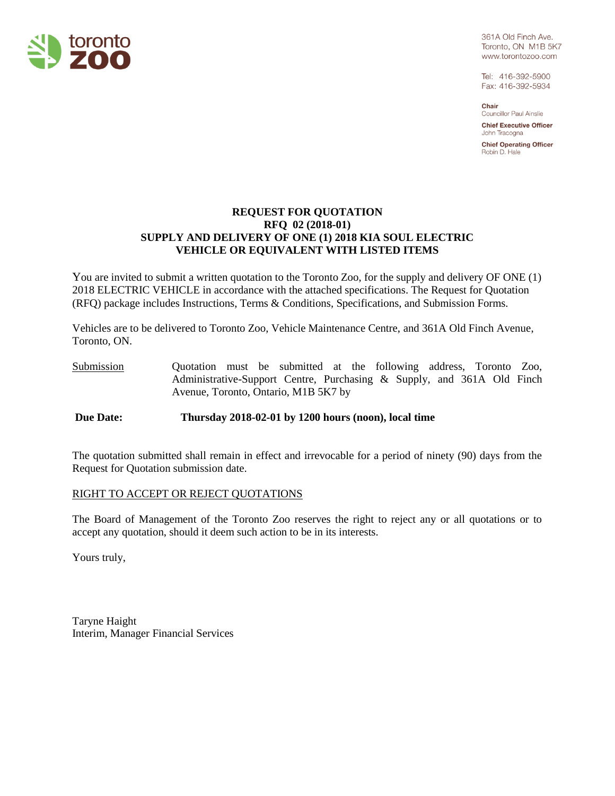

361A Old Finch Ave. Toronto, ON M1B 5K7 www.torontozoo.com

Tel: 416-392-5900 Fax: 416-392-5934

Chair **Councillor Paul Ainslie** 

**Chief Executive Officer** John Tracogna

**Chief Operating Officer** Robin D. Hale

# **REQUEST FOR QUOTATION RFQ 02 (2018-01) SUPPLY AND DELIVERY OF ONE (1) 2018 KIA SOUL ELECTRIC VEHICLE OR EQUIVALENT WITH LISTED ITEMS**

You are invited to submit a written quotation to the Toronto Zoo, for the supply and delivery OF ONE (1) 2018 ELECTRIC VEHICLE in accordance with the attached specifications. The Request for Quotation (RFQ) package includes Instructions, Terms & Conditions, Specifications, and Submission Forms.

Vehicles are to be delivered to Toronto Zoo, Vehicle Maintenance Centre, and 361A Old Finch Avenue, Toronto, ON.

Submission Quotation must be submitted at the following address, Toronto Zoo, Administrative-Support Centre, Purchasing & Supply, and 361A Old Finch Avenue, Toronto, Ontario, M1B 5K7 by

**Due Date: Thursday 2018-02-01 by 1200 hours (noon), local time**

The quotation submitted shall remain in effect and irrevocable for a period of ninety (90) days from the Request for Quotation submission date.

# RIGHT TO ACCEPT OR REJECT QUOTATIONS

The Board of Management of the Toronto Zoo reserves the right to reject any or all quotations or to accept any quotation, should it deem such action to be in its interests.

Yours truly,

Taryne Haight Interim, Manager Financial Services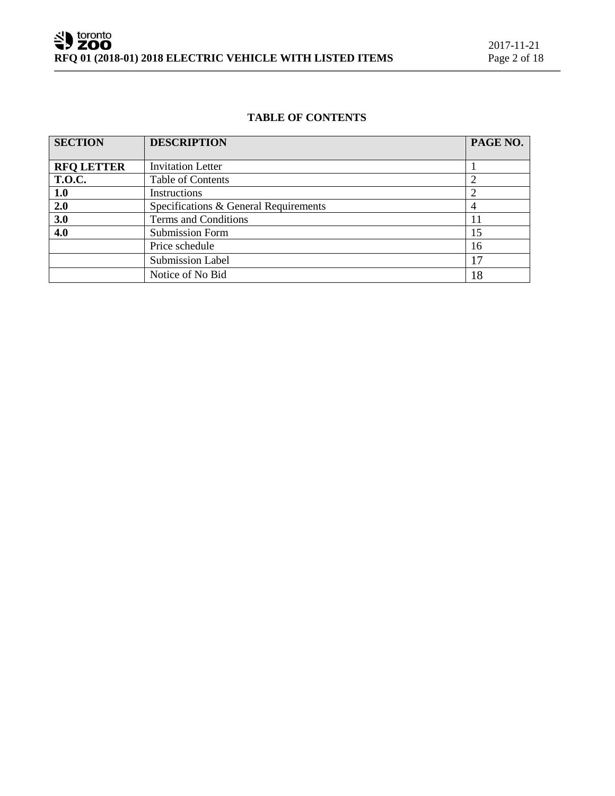# **TABLE OF CONTENTS**

| <b>SECTION</b>    | <b>DESCRIPTION</b>                    | PAGE NO. |
|-------------------|---------------------------------------|----------|
|                   |                                       |          |
| <b>RFQ LETTER</b> | <b>Invitation Letter</b>              |          |
| <b>T.O.C.</b>     | Table of Contents                     |          |
| 1.0               | Instructions                          |          |
| 2.0               | Specifications & General Requirements |          |
| 3.0               | Terms and Conditions                  | 11       |
| 4.0               | <b>Submission Form</b>                | 15       |
|                   | Price schedule                        | 16       |
|                   | <b>Submission Label</b>               | 17       |
|                   | Notice of No Bid                      | 18       |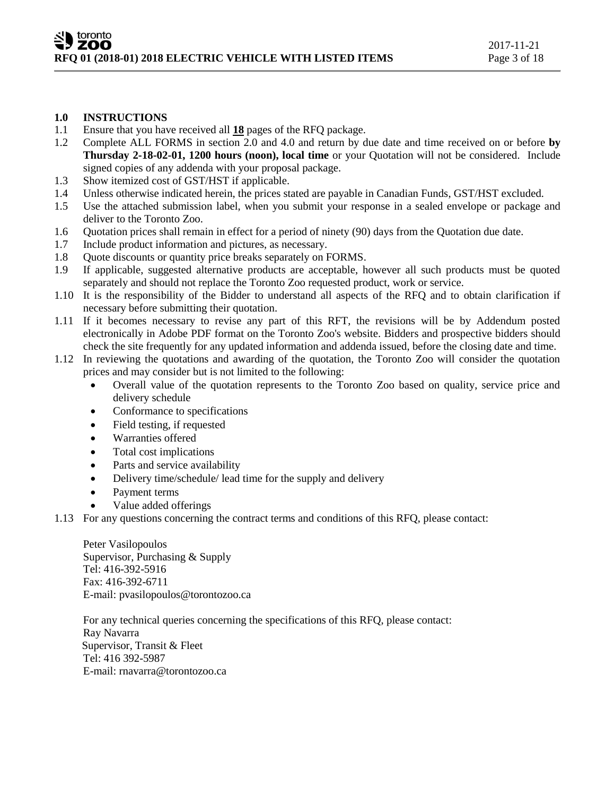# **1.0 INSTRUCTIONS**

- 1.1 Ensure that you have received all **18** pages of the RFQ package.
- 1.2 Complete ALL FORMS in section 2.0 and 4.0 and return by due date and time received on or before **by Thursday 2-18-02-01, 1200 hours (noon), local time** or your Quotation will not be considered. Include signed copies of any addenda with your proposal package.
- 1.3 Show itemized cost of GST/HST if applicable.
- 1.4 Unless otherwise indicated herein, the prices stated are payable in Canadian Funds, GST/HST excluded.
- 1.5 Use the attached submission label, when you submit your response in a sealed envelope or package and deliver to the Toronto Zoo.
- 1.6 Quotation prices shall remain in effect for a period of ninety (90) days from the Quotation due date.
- 1.7 Include product information and pictures, as necessary.
- 1.8 Quote discounts or quantity price breaks separately on FORMS.
- 1.9 If applicable, suggested alternative products are acceptable, however all such products must be quoted separately and should not replace the Toronto Zoo requested product, work or service.
- 1.10 It is the responsibility of the Bidder to understand all aspects of the RFQ and to obtain clarification if necessary before submitting their quotation.
- 1.11 If it becomes necessary to revise any part of this RFT, the revisions will be by Addendum posted electronically in Adobe PDF format on the Toronto Zoo's website. Bidders and prospective bidders should check the site frequently for any updated information and addenda issued, before the closing date and time.
- 1.12 In reviewing the quotations and awarding of the quotation, the Toronto Zoo will consider the quotation prices and may consider but is not limited to the following:
	- Overall value of the quotation represents to the Toronto Zoo based on quality, service price and delivery schedule
	- Conformance to specifications
	- Field testing, if requested
	- Warranties offered
	- Total cost implications
	- Parts and service availability
	- Delivery time/schedule/ lead time for the supply and delivery
	- Payment terms
	- Value added offerings
- 1.13 For any questions concerning the contract terms and conditions of this RFQ, please contact:

Peter Vasilopoulos Supervisor, Purchasing & Supply Tel: 416-392-5916 Fax: 416-392-6711 E-mail: pvasilopoulos@torontozoo.ca

For any technical queries concerning the specifications of this RFQ, please contact: Ray Navarra Supervisor, Transit & Fleet Tel: 416 392-5987 E-mail: rnavarra@torontozoo.ca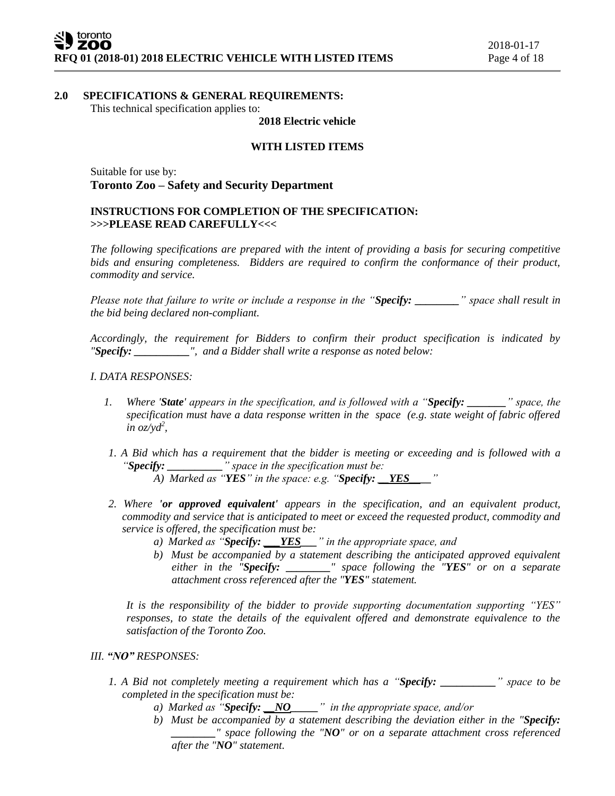## **2.0 SPECIFICATIONS & GENERAL REQUIREMENTS:**

This technical specification applies to:

#### **2018 Electric vehicle**

## **WITH LISTED ITEMS**

Suitable for use by: **Toronto Zoo – Safety and Security Department**

## **INSTRUCTIONS FOR COMPLETION OF THE SPECIFICATION: >>>PLEASE READ CAREFULLY<<<**

*The following specifications are prepared with the intent of providing a basis for securing competitive bids and ensuring completeness. Bidders are required to confirm the conformance of their product, commodity and service.*

*Please note that failure to write or include a response in the "Specify: \_\_\_\_\_\_\_\_" space shall result in the bid being declared non-compliant.*

*Accordingly, the requirement for Bidders to confirm their product specification is indicated by "Specify: \_\_\_\_\_\_\_\_\_\_", and a Bidder shall write a response as noted below:* 

## *I. DATA RESPONSES:*

- *1. Where 'State' appears in the specification, and is followed with a "Specify: \_\_\_\_\_\_\_" space, the specification must have a data response written in the space (e.g. state weight of fabric offered in oz/yd<sup>2</sup> ,*
- *1. A Bid which has a requirement that the bidder is meeting or exceeding and is followed with a "Specify: \_\_\_\_\_\_\_\_\_\_" space in the specification must be:*
	- *A) Marked as "YES" in the space: e.g. "Specify: \_\_YES\_\_\_\_"*
- *2. Where 'or approved equivalent' appears in the specification, and an equivalent product, commodity and service that is anticipated to meet or exceed the requested product, commodity and service is offered, the specification must be:*
	- *a) Marked as "Specify: \_\_\_YES\_\_\_" in the appropriate space, and*
	- *b) Must be accompanied by a statement describing the anticipated approved equivalent either in the "Specify: \_\_\_\_\_\_\_\_" space following the "YES" or on a separate attachment cross referenced after the "YES" statement.*

*It is the responsibility of the bidder to provide supporting documentation supporting "YES" responses, to state the details of the equivalent offered and demonstrate equivalence to the satisfaction of the Toronto Zoo.* 

#### *III. "NO" RESPONSES:*

- *1. A Bid not completely meeting a requirement which has a "Specify: \_\_\_\_\_\_\_\_\_\_" space to be completed in the specification must be:*
	- *a) Marked as "Specify: \_\_NO\_\_\_\_\_" in the appropriate space, and/or*
	- *b) Must be accompanied by a statement describing the deviation either in the "Specify: \_\_\_\_\_\_\_\_" space following the "NO" or on a separate attachment cross referenced after the "NO" statement.*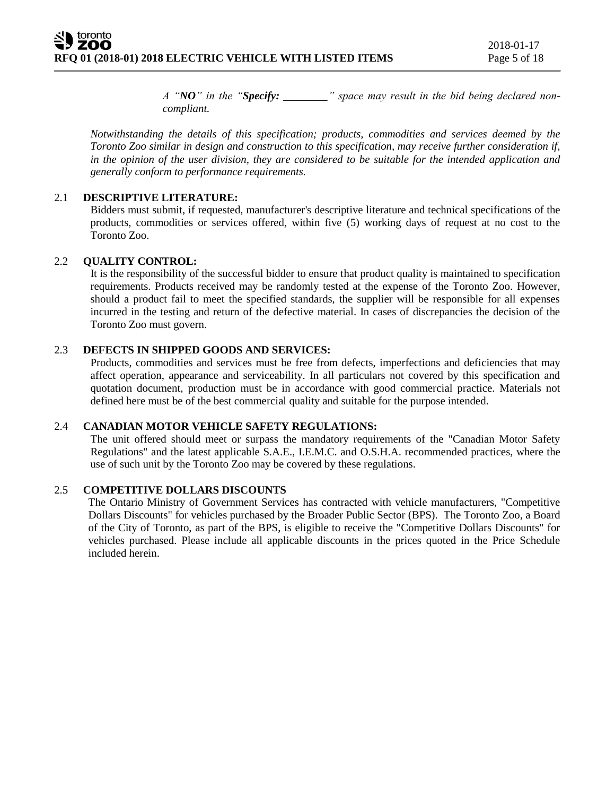*A "NO" in the "Specify: \_\_\_\_\_\_\_\_" space may result in the bid being declared noncompliant.* 

*Notwithstanding the details of this specification; products, commodities and services deemed by the Toronto Zoo similar in design and construction to this specification, may receive further consideration if, in the opinion of the user division, they are considered to be suitable for the intended application and generally conform to performance requirements.*

#### 2.1 **DESCRIPTIVE LITERATURE:**

Bidders must submit, if requested, manufacturer's descriptive literature and technical specifications of the products, commodities or services offered, within five (5) working days of request at no cost to the Toronto Zoo.

## 2.2 **QUALITY CONTROL:**

It is the responsibility of the successful bidder to ensure that product quality is maintained to specification requirements. Products received may be randomly tested at the expense of the Toronto Zoo. However, should a product fail to meet the specified standards, the supplier will be responsible for all expenses incurred in the testing and return of the defective material. In cases of discrepancies the decision of the Toronto Zoo must govern.

# 2.3 **DEFECTS IN SHIPPED GOODS AND SERVICES:**

Products, commodities and services must be free from defects, imperfections and deficiencies that may affect operation, appearance and serviceability. In all particulars not covered by this specification and quotation document, production must be in accordance with good commercial practice. Materials not defined here must be of the best commercial quality and suitable for the purpose intended.

## 2.4 **CANADIAN MOTOR VEHICLE SAFETY REGULATIONS:**

The unit offered should meet or surpass the mandatory requirements of the "Canadian Motor Safety Regulations" and the latest applicable S.A.E., I.E.M.C. and O.S.H.A. recommended practices, where the use of such unit by the Toronto Zoo may be covered by these regulations.

#### 2.5 **COMPETITIVE DOLLARS DISCOUNTS**

The Ontario Ministry of Government Services has contracted with vehicle manufacturers, "Competitive Dollars Discounts" for vehicles purchased by the Broader Public Sector (BPS). The Toronto Zoo, a Board of the City of Toronto, as part of the BPS, is eligible to receive the "Competitive Dollars Discounts" for vehicles purchased. Please include all applicable discounts in the prices quoted in the Price Schedule included herein.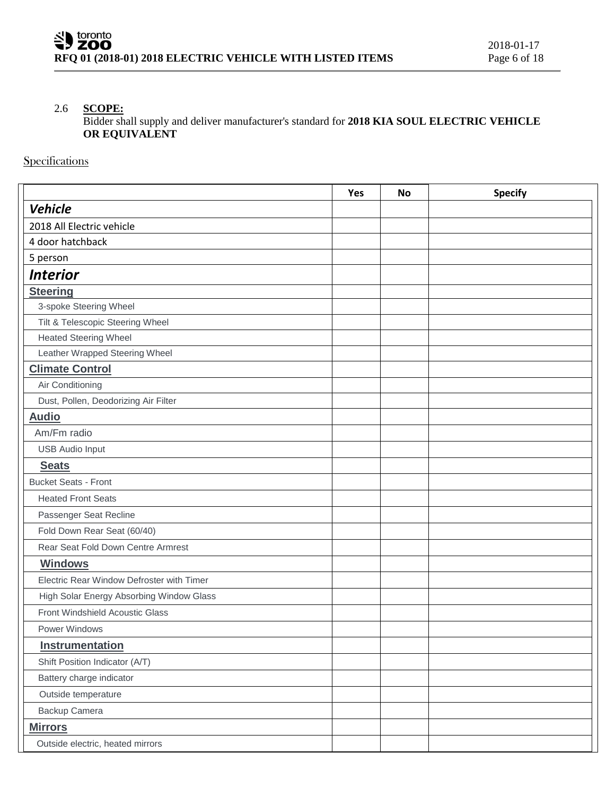# 2.6 **SCOPE:**

Bidder shall supply and deliver manufacturer's standard for **2018 KIA SOUL ELECTRIC VEHICLE OR EQUIVALENT**

**Specifications** 

|                                           | Yes | <b>No</b> | <b>Specify</b> |
|-------------------------------------------|-----|-----------|----------------|
| <b>Vehicle</b>                            |     |           |                |
| 2018 All Electric vehicle                 |     |           |                |
| 4 door hatchback                          |     |           |                |
| 5 person                                  |     |           |                |
| <b>Interior</b>                           |     |           |                |
| <b>Steering</b>                           |     |           |                |
| 3-spoke Steering Wheel                    |     |           |                |
| Tilt & Telescopic Steering Wheel          |     |           |                |
| <b>Heated Steering Wheel</b>              |     |           |                |
| Leather Wrapped Steering Wheel            |     |           |                |
| <b>Climate Control</b>                    |     |           |                |
| Air Conditioning                          |     |           |                |
| Dust, Pollen, Deodorizing Air Filter      |     |           |                |
| <b>Audio</b>                              |     |           |                |
| Am/Fm radio                               |     |           |                |
| <b>USB Audio Input</b>                    |     |           |                |
| <b>Seats</b>                              |     |           |                |
| <b>Bucket Seats - Front</b>               |     |           |                |
| <b>Heated Front Seats</b>                 |     |           |                |
| Passenger Seat Recline                    |     |           |                |
| Fold Down Rear Seat (60/40)               |     |           |                |
| Rear Seat Fold Down Centre Armrest        |     |           |                |
| <b>Windows</b>                            |     |           |                |
| Electric Rear Window Defroster with Timer |     |           |                |
| High Solar Energy Absorbing Window Glass  |     |           |                |
| Front Windshield Acoustic Glass           |     |           |                |
| Power Windows                             |     |           |                |
| <b>Instrumentation</b>                    |     |           |                |
| Shift Position Indicator (A/T)            |     |           |                |
| Battery charge indicator                  |     |           |                |
| Outside temperature                       |     |           |                |
| Backup Camera                             |     |           |                |
| <b>Mirrors</b>                            |     |           |                |
| Outside electric, heated mirrors          |     |           |                |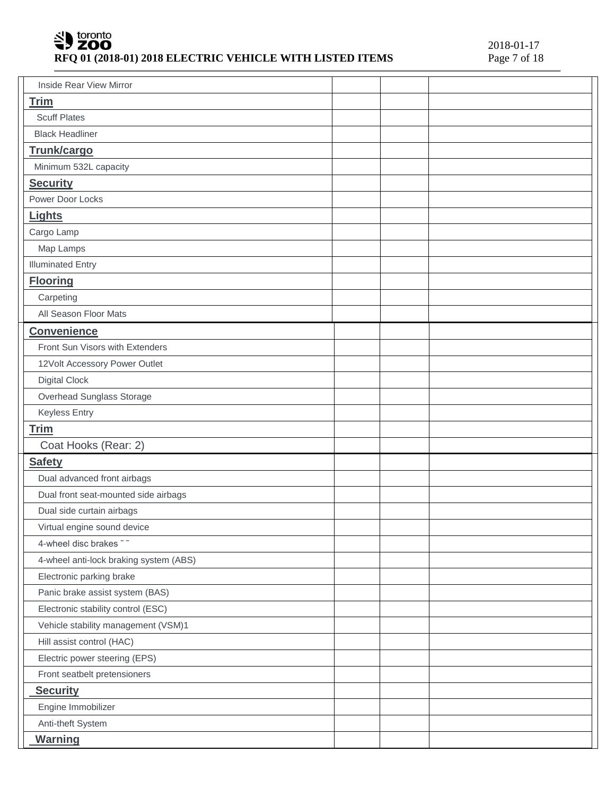# SU toronto RFQ 01 (2018-01) 2018 ELECTRIC VEHICLE WITH LISTED ITEMS

| <b>Inside Rear View Mirror</b>         |  |  |
|----------------------------------------|--|--|
| <b>Trim</b>                            |  |  |
| <b>Scuff Plates</b>                    |  |  |
| <b>Black Headliner</b>                 |  |  |
| Trunk/cargo                            |  |  |
| Minimum 532L capacity                  |  |  |
| <b>Security</b>                        |  |  |
| Power Door Locks                       |  |  |
| Lights                                 |  |  |
| Cargo Lamp                             |  |  |
| Map Lamps                              |  |  |
| <b>Illuminated Entry</b>               |  |  |
| <b>Flooring</b>                        |  |  |
| Carpeting                              |  |  |
| All Season Floor Mats                  |  |  |
| <b>Convenience</b>                     |  |  |
| Front Sun Visors with Extenders        |  |  |
| 12Volt Accessory Power Outlet          |  |  |
| <b>Digital Clock</b>                   |  |  |
| Overhead Sunglass Storage              |  |  |
| <b>Keyless Entry</b>                   |  |  |
| <b>Trim</b>                            |  |  |
| Coat Hooks (Rear: 2)                   |  |  |
| <b>Safety</b>                          |  |  |
| Dual advanced front airbags            |  |  |
| Dual front seat-mounted side airbags   |  |  |
| Dual side curtain airbags              |  |  |
| Virtual engine sound device            |  |  |
| 4-wheel disc brakes ~~                 |  |  |
| 4-wheel anti-lock braking system (ABS) |  |  |
| Electronic parking brake               |  |  |
| Panic brake assist system (BAS)        |  |  |
| Electronic stability control (ESC)     |  |  |
| Vehicle stability management (VSM)1    |  |  |
| Hill assist control (HAC)              |  |  |
| Electric power steering (EPS)          |  |  |
| Front seatbelt pretensioners           |  |  |
| <b>Security</b>                        |  |  |
| Engine Immobilizer                     |  |  |
| Anti-theft System                      |  |  |
| <b>Warning</b>                         |  |  |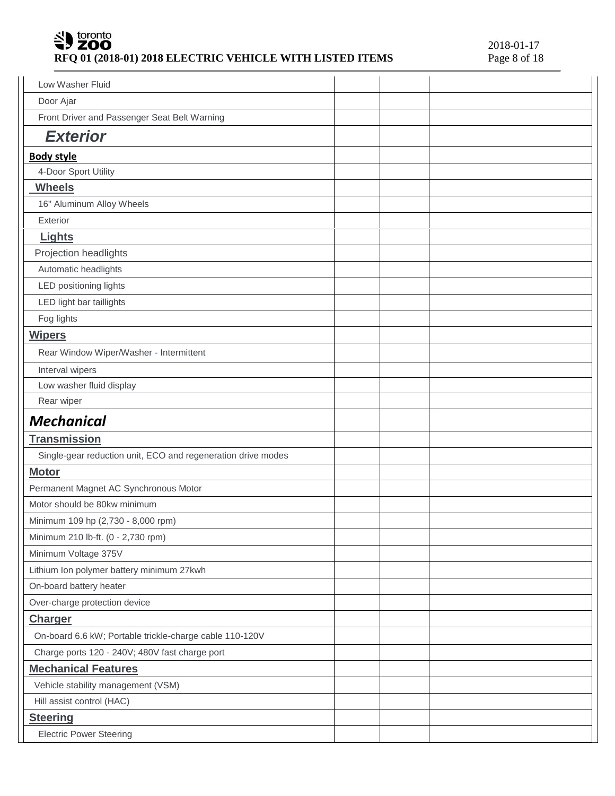# SU toronto RFQ 01 (2018-01) 2018 ELECTRIC VEHICLE WITH LISTED ITEMS

| Low Washer Fluid                                             |  |  |
|--------------------------------------------------------------|--|--|
| Door Ajar                                                    |  |  |
| Front Driver and Passenger Seat Belt Warning                 |  |  |
| <b>Exterior</b>                                              |  |  |
| <b>Body style</b>                                            |  |  |
| 4-Door Sport Utility                                         |  |  |
| <b>Wheels</b>                                                |  |  |
| 16" Aluminum Alloy Wheels                                    |  |  |
| Exterior                                                     |  |  |
| Lights                                                       |  |  |
| Projection headlights                                        |  |  |
| Automatic headlights                                         |  |  |
| LED positioning lights                                       |  |  |
| LED light bar taillights                                     |  |  |
| Fog lights                                                   |  |  |
| <b>Wipers</b>                                                |  |  |
| Rear Window Wiper/Washer - Intermittent                      |  |  |
| Interval wipers                                              |  |  |
| Low washer fluid display                                     |  |  |
| Rear wiper                                                   |  |  |
|                                                              |  |  |
| <b>Mechanical</b>                                            |  |  |
| <b>Transmission</b>                                          |  |  |
| Single-gear reduction unit, ECO and regeneration drive modes |  |  |
| <b>Motor</b>                                                 |  |  |
| Permanent Magnet AC Synchronous Motor                        |  |  |
| Motor should be 80kw minimum                                 |  |  |
| Minimum 109 hp (2,730 - 8,000 rpm)                           |  |  |
| Minimum 210 lb-ft. (0 - 2,730 rpm)                           |  |  |
| Minimum Voltage 375V                                         |  |  |
| Lithium Ion polymer battery minimum 27kwh                    |  |  |
| On-board battery heater                                      |  |  |
| Over-charge protection device                                |  |  |
| <b>Charger</b>                                               |  |  |
| On-board 6.6 kW; Portable trickle-charge cable 110-120V      |  |  |
| Charge ports 120 - 240V; 480V fast charge port               |  |  |
| <b>Mechanical Features</b>                                   |  |  |
| Vehicle stability management (VSM)                           |  |  |
| Hill assist control (HAC)                                    |  |  |
| <b>Steering</b>                                              |  |  |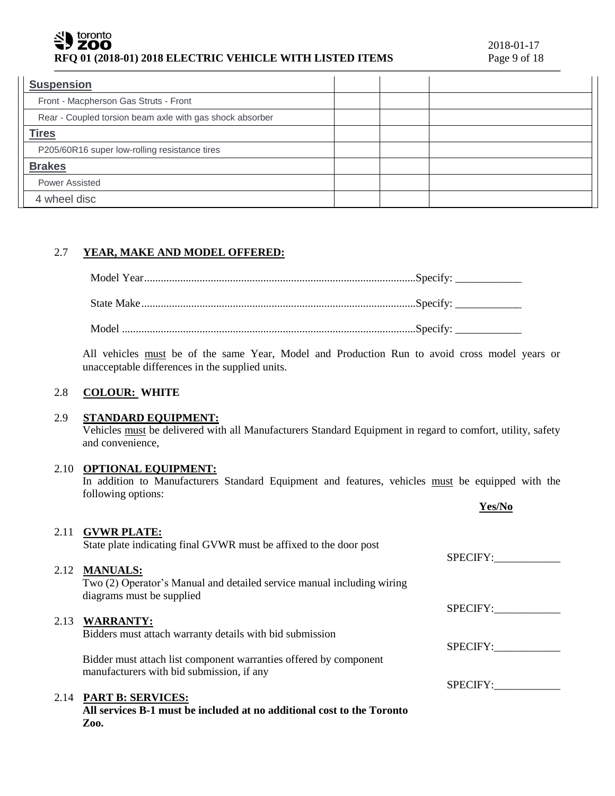#### toronto **ZOO RFQ 01 (2018-01) 2018 ELECTRIC VEHICLE WITH LISTED ITEMS** Page 9 of 18

| <b>Suspension</b>                                        |  |  |
|----------------------------------------------------------|--|--|
| Front - Macpherson Gas Struts - Front                    |  |  |
| Rear - Coupled torsion beam axle with gas shock absorber |  |  |
| <b>Tires</b>                                             |  |  |
| P205/60R16 super low-rolling resistance tires            |  |  |
| <b>Brakes</b>                                            |  |  |
| <b>Power Assisted</b>                                    |  |  |
| 4 wheel disc                                             |  |  |

# 2.7 **YEAR, MAKE AND MODEL OFFERED:**

| Model |  |
|-------|--|

All vehicles must be of the same Year, Model and Production Run to avoid cross model years or unacceptable differences in the supplied units.

# 2.8 **COLOUR: WHITE**

## 2.9 **STANDARD EQUIPMENT:**

Vehicles must be delivered with all Manufacturers Standard Equipment in regard to comfort, utility, safety and convenience,

#### 2.10 **OPTIONAL EQUIPMENT:**

In addition to Manufacturers Standard Equipment and features, vehicles must be equipped with the following options:

|      |                                                                                                                | Yes/No          |
|------|----------------------------------------------------------------------------------------------------------------|-----------------|
|      | 2.11 GVWR PLATE:                                                                                               |                 |
|      | State plate indicating final GVWR must be affixed to the door post                                             | <b>SPECIFY:</b> |
|      | 2.12 MANUALS:                                                                                                  |                 |
|      | Two (2) Operator's Manual and detailed service manual including wiring                                         |                 |
|      | diagrams must be supplied                                                                                      | SPECIFY:        |
| 2.13 | <b>WARRANTY:</b>                                                                                               |                 |
|      | Bidders must attach warranty details with bid submission                                                       |                 |
|      |                                                                                                                | SPECIFY:        |
|      | Bidder must attach list component warranties offered by component<br>manufacturers with bid submission, if any |                 |
|      |                                                                                                                | SPECIFY:        |
|      | 2.14 PART B: SERVICES:                                                                                         |                 |
|      | All services B-1 must be included at no additional cost to the Toronto                                         |                 |
|      | Zoo.                                                                                                           |                 |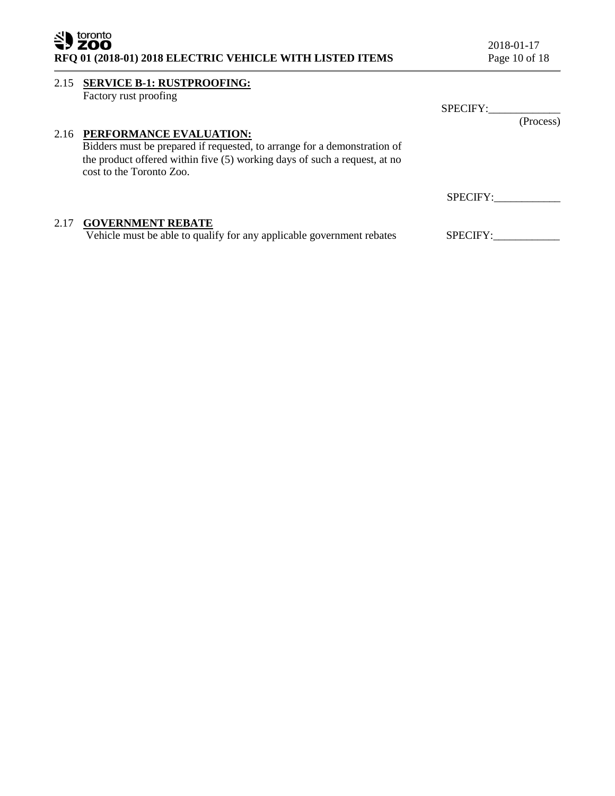| toronto<br>ZOO<br>RFQ 01 (2018-01) 2018 ELECTRIC VEHICLE WITH LISTED ITEMS |                                                                                                                                                                                                                   | 2018-01-17<br>Page 10 of 18 |  |
|----------------------------------------------------------------------------|-------------------------------------------------------------------------------------------------------------------------------------------------------------------------------------------------------------------|-----------------------------|--|
| 2.15                                                                       | <b>SERVICE B-1: RUSTPROOFING:</b><br>Factory rust proofing                                                                                                                                                        | SPECIFY:                    |  |
|                                                                            | 2.16 PERFORMANCE EVALUATION:<br>Bidders must be prepared if requested, to arrange for a demonstration of<br>the product offered within five (5) working days of such a request, at no<br>cost to the Toronto Zoo. | (Process)                   |  |
|                                                                            |                                                                                                                                                                                                                   | <b>SPECIFY:</b>             |  |
| 2.17                                                                       | <b>GOVERNMENT REBATE</b><br>Vehicle must be able to qualify for any applicable government rebates                                                                                                                 | <b>SPECIFY:</b>             |  |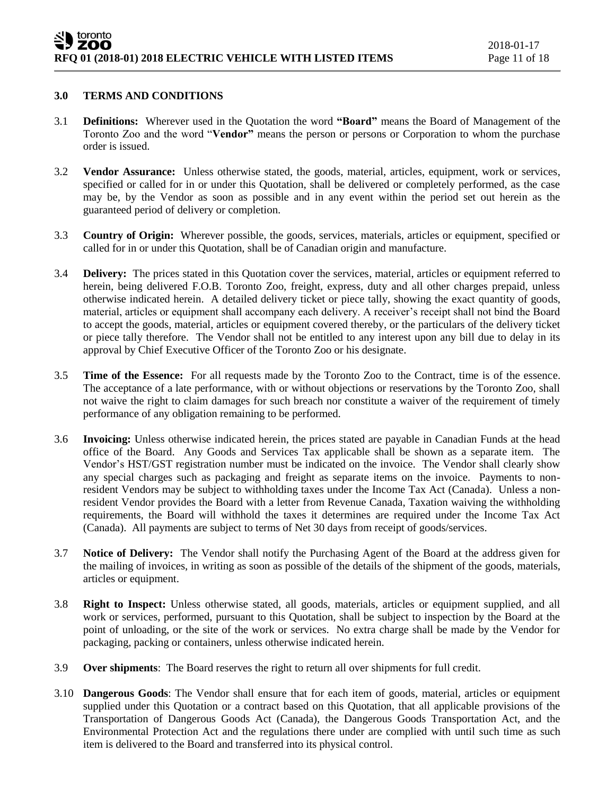#### **3.0 TERMS AND CONDITIONS**

- 3.1 **Definitions:** Wherever used in the Quotation the word **"Board"** means the Board of Management of the Toronto Zoo and the word "**Vendor"** means the person or persons or Corporation to whom the purchase order is issued.
- 3.2 **Vendor Assurance:** Unless otherwise stated, the goods, material, articles, equipment, work or services, specified or called for in or under this Quotation, shall be delivered or completely performed, as the case may be, by the Vendor as soon as possible and in any event within the period set out herein as the guaranteed period of delivery or completion.
- 3.3 **Country of Origin:** Wherever possible, the goods, services, materials, articles or equipment, specified or called for in or under this Quotation, shall be of Canadian origin and manufacture.
- 3.4 **Delivery:** The prices stated in this Quotation cover the services, material, articles or equipment referred to herein, being delivered F.O.B. Toronto Zoo, freight, express, duty and all other charges prepaid, unless otherwise indicated herein. A detailed delivery ticket or piece tally, showing the exact quantity of goods, material, articles or equipment shall accompany each delivery. A receiver's receipt shall not bind the Board to accept the goods, material, articles or equipment covered thereby, or the particulars of the delivery ticket or piece tally therefore. The Vendor shall not be entitled to any interest upon any bill due to delay in its approval by Chief Executive Officer of the Toronto Zoo or his designate.
- 3.5 **Time of the Essence:** For all requests made by the Toronto Zoo to the Contract, time is of the essence. The acceptance of a late performance, with or without objections or reservations by the Toronto Zoo, shall not waive the right to claim damages for such breach nor constitute a waiver of the requirement of timely performance of any obligation remaining to be performed.
- 3.6 **Invoicing:** Unless otherwise indicated herein, the prices stated are payable in Canadian Funds at the head office of the Board. Any Goods and Services Tax applicable shall be shown as a separate item. The Vendor's HST/GST registration number must be indicated on the invoice. The Vendor shall clearly show any special charges such as packaging and freight as separate items on the invoice. Payments to nonresident Vendors may be subject to withholding taxes under the Income Tax Act (Canada). Unless a nonresident Vendor provides the Board with a letter from Revenue Canada, Taxation waiving the withholding requirements, the Board will withhold the taxes it determines are required under the Income Tax Act (Canada). All payments are subject to terms of Net 30 days from receipt of goods/services.
- 3.7 **Notice of Delivery:** The Vendor shall notify the Purchasing Agent of the Board at the address given for the mailing of invoices, in writing as soon as possible of the details of the shipment of the goods, materials, articles or equipment.
- 3.8 **Right to Inspect:** Unless otherwise stated, all goods, materials, articles or equipment supplied, and all work or services, performed, pursuant to this Quotation, shall be subject to inspection by the Board at the point of unloading, or the site of the work or services. No extra charge shall be made by the Vendor for packaging, packing or containers, unless otherwise indicated herein.
- 3.9 **Over shipments**: The Board reserves the right to return all over shipments for full credit.
- 3.10 **Dangerous Goods**: The Vendor shall ensure that for each item of goods, material, articles or equipment supplied under this Quotation or a contract based on this Quotation, that all applicable provisions of the Transportation of Dangerous Goods Act (Canada), the Dangerous Goods Transportation Act, and the Environmental Protection Act and the regulations there under are complied with until such time as such item is delivered to the Board and transferred into its physical control.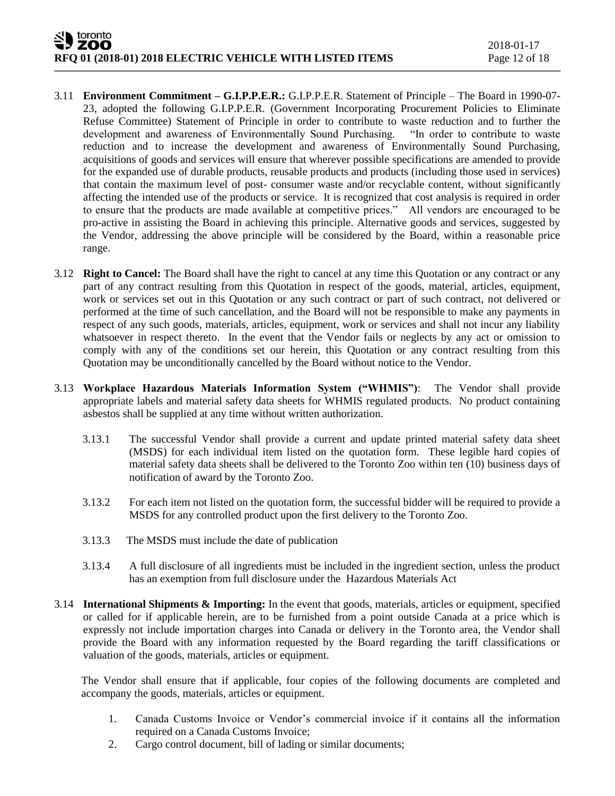- 3.11 **Environment Commitment – G.I.P.P.E.R.:** G.I.P.P.E.R. Statement of Principle The Board in 1990-07- 23, adopted the following G.I.P.P.E.R. (Government Incorporating Procurement Policies to Eliminate Refuse Committee) Statement of Principle in order to contribute to waste reduction and to further the development and awareness of Environmentally Sound Purchasing. "In order to contribute to waste reduction and to increase the development and awareness of Environmentally Sound Purchasing, acquisitions of goods and services will ensure that wherever possible specifications are amended to provide for the expanded use of durable products, reusable products and products (including those used in services) that contain the maximum level of post- consumer waste and/or recyclable content, without significantly affecting the intended use of the products or service. It is recognized that cost analysis is required in order to ensure that the products are made available at competitive prices." All vendors are encouraged to be pro-active in assisting the Board in achieving this principle. Alternative goods and services, suggested by the Vendor, addressing the above principle will be considered by the Board, within a reasonable price range.
- 3.12 **Right to Cancel:** The Board shall have the right to cancel at any time this Quotation or any contract or any part of any contract resulting from this Quotation in respect of the goods, material, articles, equipment, work or services set out in this Quotation or any such contract or part of such contract, not delivered or performed at the time of such cancellation, and the Board will not be responsible to make any payments in respect of any such goods, materials, articles, equipment, work or services and shall not incur any liability whatsoever in respect thereto. In the event that the Vendor fails or neglects by any act or omission to comply with any of the conditions set our herein, this Quotation or any contract resulting from this Quotation may be unconditionally cancelled by the Board without notice to the Vendor.
- 3.13 **Workplace Hazardous Materials Information System ("WHMIS")**: The Vendor shall provide appropriate labels and material safety data sheets for WHMIS regulated products. No product containing asbestos shall be supplied at any time without written authorization.
	- 3.13.1 The successful Vendor shall provide a current and update printed material safety data sheet (MSDS) for each individual item listed on the quotation form. These legible hard copies of material safety data sheets shall be delivered to the Toronto Zoo within ten (10) business days of notification of award by the Toronto Zoo.
	- 3.13.2 For each item not listed on the quotation form, the successful bidder will be required to provide a MSDS for any controlled product upon the first delivery to the Toronto Zoo.
	- 3.13.3 The MSDS must include the date of publication
	- 3.13.4 A full disclosure of all ingredients must be included in the ingredient section, unless the product has an exemption from full disclosure under the Hazardous Materials Act
- 3.14 **International Shipments & Importing:** In the event that goods, materials, articles or equipment, specified or called for if applicable herein, are to be furnished from a point outside Canada at a price which is expressly not include importation charges into Canada or delivery in the Toronto area, the Vendor shall provide the Board with any information requested by the Board regarding the tariff classifications or valuation of the goods, materials, articles or equipment.

The Vendor shall ensure that if applicable, four copies of the following documents are completed and accompany the goods, materials, articles or equipment.

- 1. Canada Customs Invoice or Vendor's commercial invoice if it contains all the information required on a Canada Customs Invoice;
- 2. Cargo control document, bill of lading or similar documents;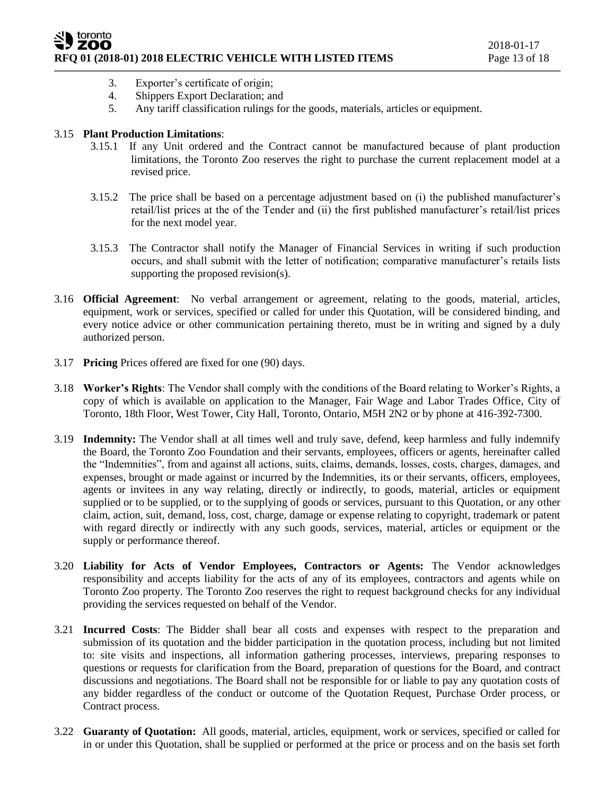- 3. Exporter's certificate of origin;
- 4. Shippers Export Declaration; and
- 5. Any tariff classification rulings for the goods, materials, articles or equipment.

## 3.15 **Plant Production Limitations**:

- 3.15.1 If any Unit ordered and the Contract cannot be manufactured because of plant production limitations, the Toronto Zoo reserves the right to purchase the current replacement model at a revised price.
- 3.15.2 The price shall be based on a percentage adjustment based on (i) the published manufacturer's retail/list prices at the of the Tender and (ii) the first published manufacturer's retail/list prices for the next model year.
- 3.15.3 The Contractor shall notify the Manager of Financial Services in writing if such production occurs, and shall submit with the letter of notification; comparative manufacturer's retails lists supporting the proposed revision(s).
- 3.16 **Official Agreement**: No verbal arrangement or agreement, relating to the goods, material, articles, equipment, work or services, specified or called for under this Quotation, will be considered binding, and every notice advice or other communication pertaining thereto, must be in writing and signed by a duly authorized person.
- 3.17 **Pricing** Prices offered are fixed for one (90) days.
- 3.18 **Worker's Rights**: The Vendor shall comply with the conditions of the Board relating to Worker's Rights, a copy of which is available on application to the Manager, Fair Wage and Labor Trades Office, City of Toronto, 18th Floor, West Tower, City Hall, Toronto, Ontario, M5H 2N2 or by phone at 416-392-7300.
- 3.19 **Indemnity:** The Vendor shall at all times well and truly save, defend, keep harmless and fully indemnify the Board, the Toronto Zoo Foundation and their servants, employees, officers or agents, hereinafter called the "Indemnities", from and against all actions, suits, claims, demands, losses, costs, charges, damages, and expenses, brought or made against or incurred by the Indemnities, its or their servants, officers, employees, agents or invitees in any way relating, directly or indirectly, to goods, material, articles or equipment supplied or to be supplied, or to the supplying of goods or services, pursuant to this Quotation, or any other claim, action, suit, demand, loss, cost, charge, damage or expense relating to copyright, trademark or patent with regard directly or indirectly with any such goods, services, material, articles or equipment or the supply or performance thereof.
- 3.20 **Liability for Acts of Vendor Employees, Contractors or Agents:** The Vendor acknowledges responsibility and accepts liability for the acts of any of its employees, contractors and agents while on Toronto Zoo property. The Toronto Zoo reserves the right to request background checks for any individual providing the services requested on behalf of the Vendor.
- 3.21 **Incurred Costs**: The Bidder shall bear all costs and expenses with respect to the preparation and submission of its quotation and the bidder participation in the quotation process, including but not limited to: site visits and inspections, all information gathering processes, interviews, preparing responses to questions or requests for clarification from the Board, preparation of questions for the Board, and contract discussions and negotiations. The Board shall not be responsible for or liable to pay any quotation costs of any bidder regardless of the conduct or outcome of the Quotation Request, Purchase Order process, or Contract process.
- 3.22 **Guaranty of Quotation:** All goods, material, articles, equipment, work or services, specified or called for in or under this Quotation, shall be supplied or performed at the price or process and on the basis set forth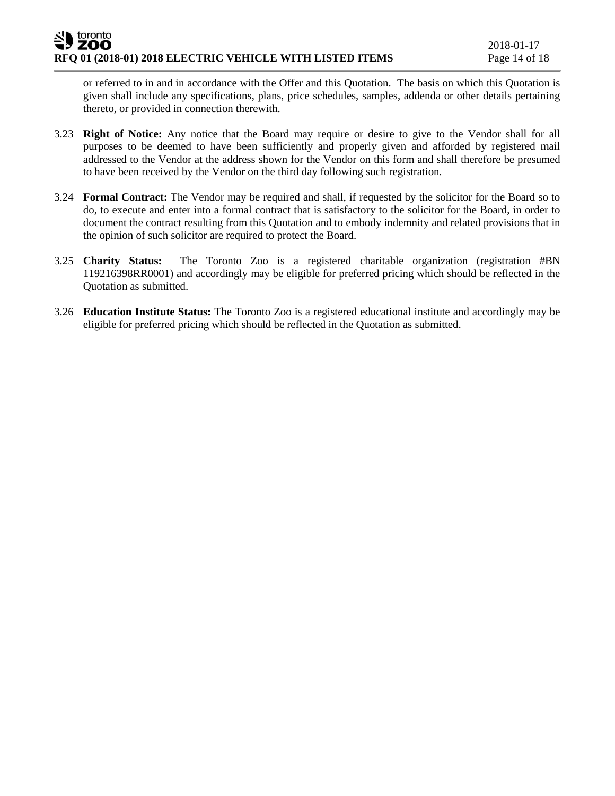or referred to in and in accordance with the Offer and this Quotation. The basis on which this Quotation is given shall include any specifications, plans, price schedules, samples, addenda or other details pertaining thereto, or provided in connection therewith.

- 3.23 **Right of Notice:** Any notice that the Board may require or desire to give to the Vendor shall for all purposes to be deemed to have been sufficiently and properly given and afforded by registered mail addressed to the Vendor at the address shown for the Vendor on this form and shall therefore be presumed to have been received by the Vendor on the third day following such registration.
- 3.24 **Formal Contract:** The Vendor may be required and shall, if requested by the solicitor for the Board so to do, to execute and enter into a formal contract that is satisfactory to the solicitor for the Board, in order to document the contract resulting from this Quotation and to embody indemnity and related provisions that in the opinion of such solicitor are required to protect the Board.
- 3.25 **Charity Status:** The Toronto Zoo is a registered charitable organization (registration #BN 119216398RR0001) and accordingly may be eligible for preferred pricing which should be reflected in the Quotation as submitted.
- 3.26 **Education Institute Status:** The Toronto Zoo is a registered educational institute and accordingly may be eligible for preferred pricing which should be reflected in the Quotation as submitted.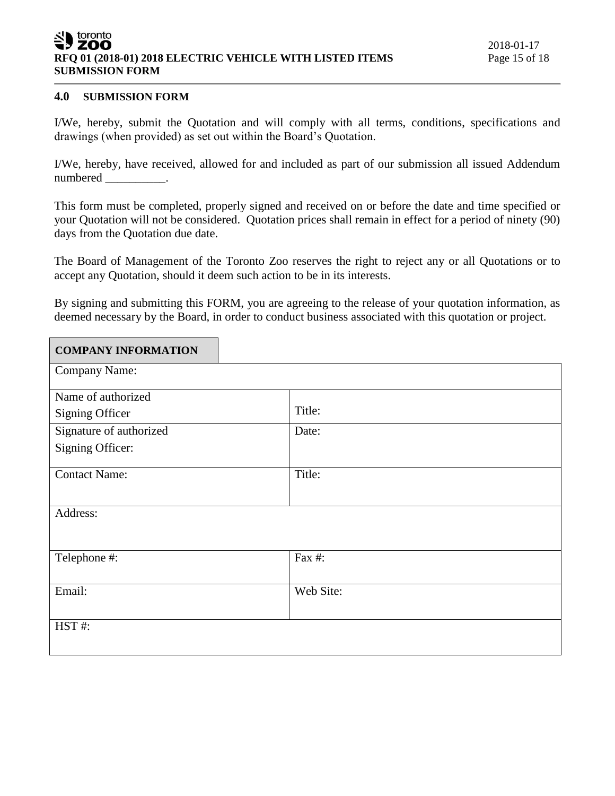#### toronto ZOO **RFQ 01 (2018-01) 2018 ELECTRIC VEHICLE WITH LISTED ITEMS** Page 15 of 18 **SUBMISSION FORM**

# **4.0 SUBMISSION FORM**

I/We, hereby, submit the Quotation and will comply with all terms, conditions, specifications and drawings (when provided) as set out within the Board's Quotation.

I/We, hereby, have received, allowed for and included as part of our submission all issued Addendum numbered \_\_\_\_\_\_\_\_\_\_.

This form must be completed, properly signed and received on or before the date and time specified or your Quotation will not be considered. Quotation prices shall remain in effect for a period of ninety (90) days from the Quotation due date.

The Board of Management of the Toronto Zoo reserves the right to reject any or all Quotations or to accept any Quotation, should it deem such action to be in its interests.

By signing and submitting this FORM, you are agreeing to the release of your quotation information, as deemed necessary by the Board, in order to conduct business associated with this quotation or project.

| <b>COMPANY INFORMATION</b> |           |
|----------------------------|-----------|
| Company Name:              |           |
| Name of authorized         |           |
| Signing Officer            | Title:    |
| Signature of authorized    | Date:     |
| Signing Officer:           |           |
| <b>Contact Name:</b>       | Title:    |
| Address:                   |           |
|                            |           |
| Telephone #:               | Fax #:    |
| Email:                     | Web Site: |
|                            |           |
| HST#:                      |           |
|                            |           |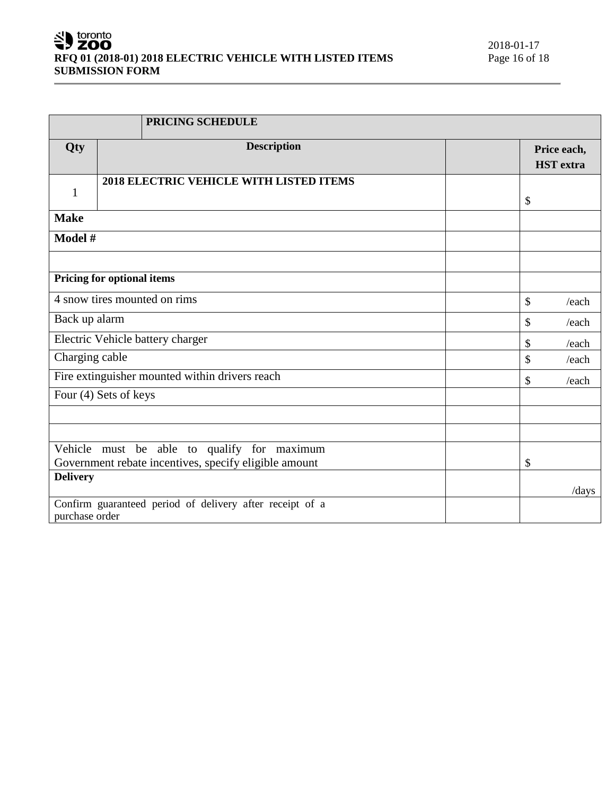# SU toronto RFQ 01 (2018-01) 2018 ELECTRIC VEHICLE WITH LISTED ITEMS **SUBMISSION FORM**

|                                                | PRICING SCHEDULE                                         |             |                                 |
|------------------------------------------------|----------------------------------------------------------|-------------|---------------------------------|
| Qty                                            | <b>Description</b>                                       |             | Price each,<br><b>HST</b> extra |
| $\mathbf{1}$                                   | 2018 ELECTRIC VEHICLE WITH LISTED ITEMS                  |             | \$                              |
| <b>Make</b>                                    |                                                          |             |                                 |
| Model #                                        |                                                          |             |                                 |
|                                                |                                                          |             |                                 |
|                                                | Pricing for optional items                               |             |                                 |
|                                                | 4 snow tires mounted on rims                             |             | $\mathbb{S}$<br>/each           |
| Back up alarm                                  |                                                          | \$<br>/each |                                 |
| Electric Vehicle battery charger               |                                                          | \$<br>/each |                                 |
| Charging cable                                 |                                                          |             | \$<br>/each                     |
| Fire extinguisher mounted within drivers reach |                                                          |             | \$<br>/each                     |
|                                                | Four (4) Sets of keys                                    |             |                                 |
|                                                |                                                          |             |                                 |
|                                                |                                                          |             |                                 |
|                                                | Vehicle must be able to qualify for maximum              |             | \$                              |
|                                                | Government rebate incentives, specify eligible amount    |             |                                 |
| <b>Delivery</b>                                |                                                          |             | $\frac{1}{\text{days}}$         |
| purchase order                                 | Confirm guaranteed period of delivery after receipt of a |             |                                 |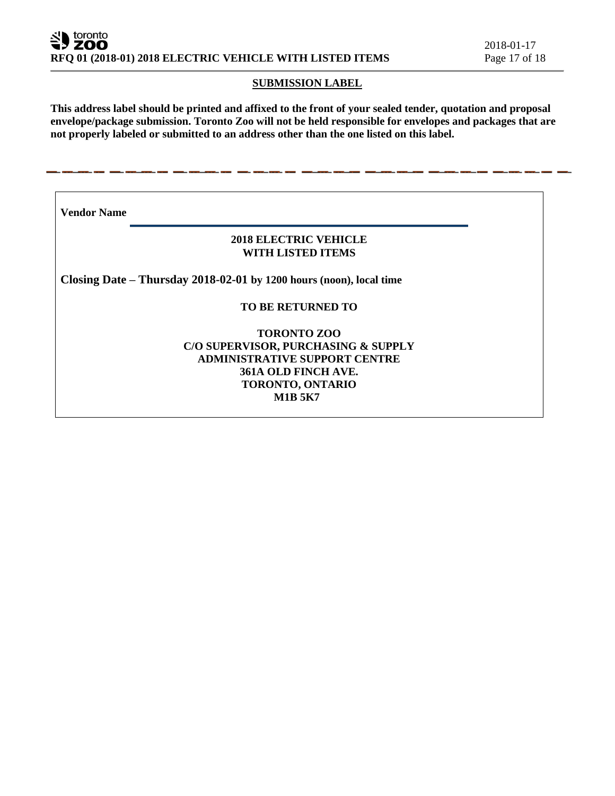# **SUBMISSION LABEL**

**This address label should be printed and affixed to the front of your sealed tender, quotation and proposal envelope/package submission. Toronto Zoo will not be held responsible for envelopes and packages that are not properly labeled or submitted to an address other than the one listed on this label.**

**Vendor Name** 

# **2018 ELECTRIC VEHICLE WITH LISTED ITEMS**

**Closing Date – Thursday 2018-02-01 by 1200 hours (noon), local time**

- - -

# **TO BE RETURNED TO**

**TORONTO ZOO C/O SUPERVISOR, PURCHASING & SUPPLY ADMINISTRATIVE SUPPORT CENTRE 361A OLD FINCH AVE. TORONTO, ONTARIO M1B 5K7**